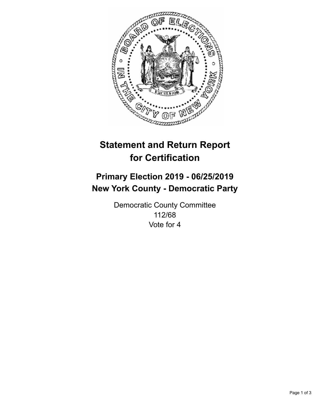

## **Statement and Return Report for Certification**

## **Primary Election 2019 - 06/25/2019 New York County - Democratic Party**

Democratic County Committee 112/68 Vote for 4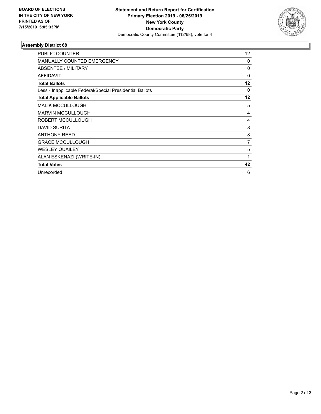

## **Assembly District 68**

| <b>PUBLIC COUNTER</b>                                    | 12       |
|----------------------------------------------------------|----------|
| <b>MANUALLY COUNTED EMERGENCY</b>                        | 0        |
| ABSENTEE / MILITARY                                      | $\Omega$ |
| <b>AFFIDAVIT</b>                                         | 0        |
| <b>Total Ballots</b>                                     | 12       |
| Less - Inapplicable Federal/Special Presidential Ballots | $\Omega$ |
| <b>Total Applicable Ballots</b>                          | 12       |
| <b>MALIK MCCULLOUGH</b>                                  | 5        |
| <b>MARVIN MCCULLOUGH</b>                                 | 4        |
| ROBERT MCCULLOUGH                                        | 4        |
| <b>DAVID SURITA</b>                                      | 8        |
| <b>ANTHONY REED</b>                                      | 8        |
| <b>GRACE MCCULLOUGH</b>                                  | 7        |
| <b>WESLEY QUAILEY</b>                                    | 5        |
| ALAN ESKENAZI (WRITE-IN)                                 | 1        |
| <b>Total Votes</b>                                       | 42       |
| Unrecorded                                               | 6        |